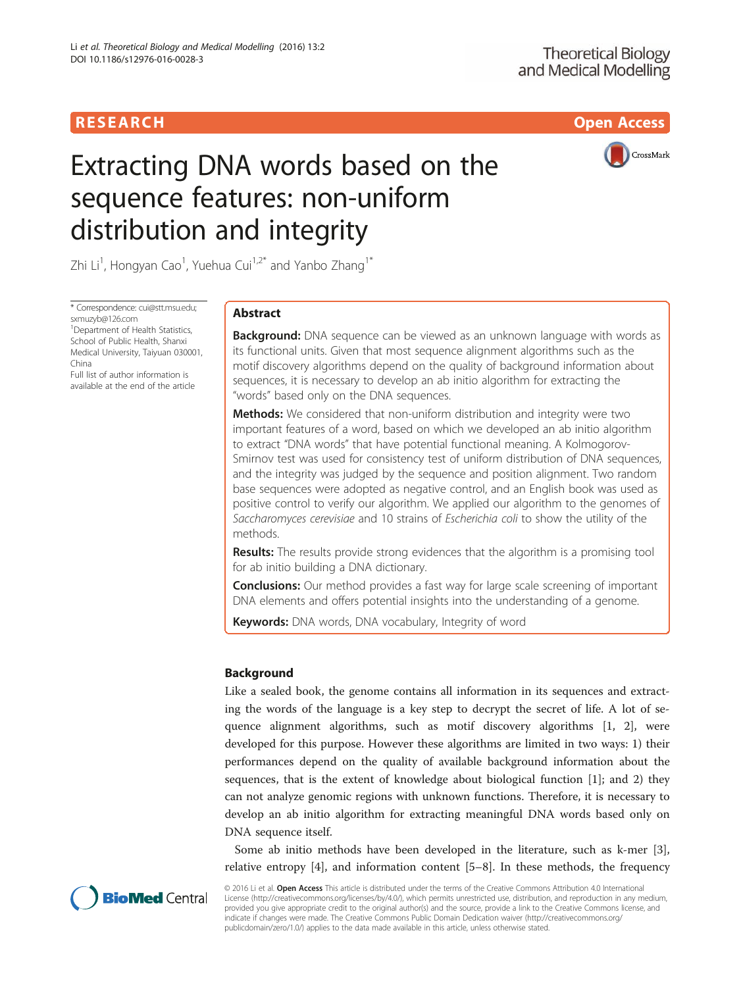# **RESEARCH RESEARCH** *CHECKER CHECKER CHECKER CHECKER CHECKER CHECKER CHECKER CHECKER CHECKER CHECKER CHECKER*

# Extracting DNA words based on the sequence features: non-uniform distribution and integrity



Zhi Li<sup>1</sup>, Hongyan Cao<sup>1</sup>, Yuehua Cui<sup>1,2\*</sup> and Yanbo Zhang<sup>1\*</sup>

\* Correspondence: [cui@stt.msu.edu;](mailto:cui@stt.msu.edu) [sxmuzyb@126.com](mailto:sxmuzyb@126.com)

<sup>1</sup> Department of Health Statistics, School of Public Health, Shanxi Medical University, Taiyuan 030001, China

Full list of author information is available at the end of the article

## Abstract

**Background:** DNA sequence can be viewed as an unknown language with words as its functional units. Given that most sequence alignment algorithms such as the motif discovery algorithms depend on the quality of background information about sequences, it is necessary to develop an ab initio algorithm for extracting the "words" based only on the DNA sequences.

**Methods:** We considered that non-uniform distribution and integrity were two important features of a word, based on which we developed an ab initio algorithm to extract "DNA words" that have potential functional meaning. A Kolmogorov-Smirnov test was used for consistency test of uniform distribution of DNA sequences, and the integrity was judged by the sequence and position alignment. Two random base sequences were adopted as negative control, and an English book was used as positive control to verify our algorithm. We applied our algorithm to the genomes of Saccharomyces cerevisiae and 10 strains of Escherichia coli to show the utility of the methods.

**Results:** The results provide strong evidences that the algorithm is a promising tool for ab initio building a DNA dictionary.

**Conclusions:** Our method provides a fast way for large scale screening of important DNA elements and offers potential insights into the understanding of a genome.

Keywords: DNA words, DNA vocabulary, Integrity of word

## Background

Like a sealed book, the genome contains all information in its sequences and extracting the words of the language is a key step to decrypt the secret of life. A lot of sequence alignment algorithms, such as motif discovery algorithms [[1](#page--1-0), [2\]](#page--1-0), were developed for this purpose. However these algorithms are limited in two ways: 1) their performances depend on the quality of available background information about the sequences, that is the extent of knowledge about biological function [[1\]](#page--1-0); and 2) they can not analyze genomic regions with unknown functions. Therefore, it is necessary to develop an ab initio algorithm for extracting meaningful DNA words based only on DNA sequence itself.

Some ab initio methods have been developed in the literature, such as k-mer [\[3](#page--1-0)], relative entropy [\[4\]](#page--1-0), and information content [\[5](#page--1-0)–[8\]](#page--1-0). In these methods, the frequency



© 2016 Li et al. Open Access This article is distributed under the terms of the Creative Commons Attribution 4.0 International License ([http://creativecommons.org/licenses/by/4.0/\)](http://creativecommons.org/licenses/by/4.0/), which permits unrestricted use, distribution, and reproduction in any medium, provided you give appropriate credit to the original author(s) and the source, provide a link to the Creative Commons license, and indicate if changes were made. The Creative Commons Public Domain Dedication waiver ([http://creativecommons.org/](http://creativecommons.org/publicdomain/zero/1.0/) [publicdomain/zero/1.0/\)](http://creativecommons.org/publicdomain/zero/1.0/) applies to the data made available in this article, unless otherwise stated.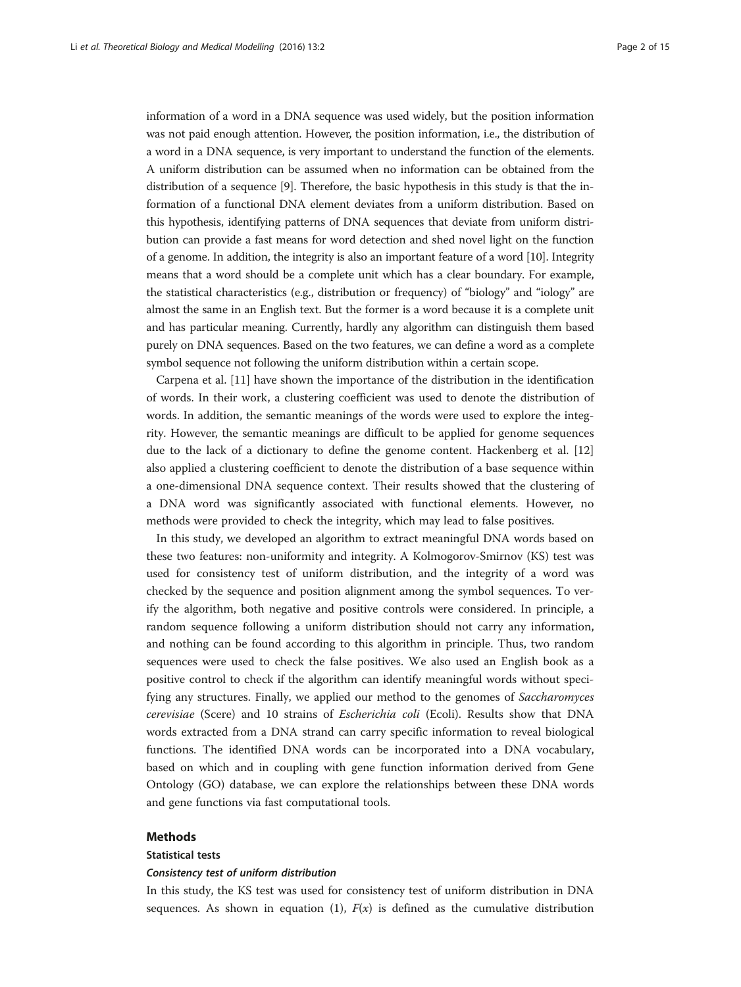information of a word in a DNA sequence was used widely, but the position information was not paid enough attention. However, the position information, i.e., the distribution of a word in a DNA sequence, is very important to understand the function of the elements. A uniform distribution can be assumed when no information can be obtained from the distribution of a sequence [\[9](#page--1-0)]. Therefore, the basic hypothesis in this study is that the information of a functional DNA element deviates from a uniform distribution. Based on this hypothesis, identifying patterns of DNA sequences that deviate from uniform distribution can provide a fast means for word detection and shed novel light on the function of a genome. In addition, the integrity is also an important feature of a word [\[10\]](#page--1-0). Integrity means that a word should be a complete unit which has a clear boundary. For example, the statistical characteristics (e.g., distribution or frequency) of "biology" and "iology" are almost the same in an English text. But the former is a word because it is a complete unit and has particular meaning. Currently, hardly any algorithm can distinguish them based purely on DNA sequences. Based on the two features, we can define a word as a complete symbol sequence not following the uniform distribution within a certain scope.

Carpena et al. [\[11](#page--1-0)] have shown the importance of the distribution in the identification of words. In their work, a clustering coefficient was used to denote the distribution of words. In addition, the semantic meanings of the words were used to explore the integrity. However, the semantic meanings are difficult to be applied for genome sequences due to the lack of a dictionary to define the genome content. Hackenberg et al. [[12](#page--1-0)] also applied a clustering coefficient to denote the distribution of a base sequence within a one-dimensional DNA sequence context. Their results showed that the clustering of a DNA word was significantly associated with functional elements. However, no methods were provided to check the integrity, which may lead to false positives.

In this study, we developed an algorithm to extract meaningful DNA words based on these two features: non-uniformity and integrity. A Kolmogorov-Smirnov (KS) test was used for consistency test of uniform distribution, and the integrity of a word was checked by the sequence and position alignment among the symbol sequences. To verify the algorithm, both negative and positive controls were considered. In principle, a random sequence following a uniform distribution should not carry any information, and nothing can be found according to this algorithm in principle. Thus, two random sequences were used to check the false positives. We also used an English book as a positive control to check if the algorithm can identify meaningful words without specifying any structures. Finally, we applied our method to the genomes of Saccharomyces cerevisiae (Scere) and 10 strains of Escherichia coli (Ecoli). Results show that DNA words extracted from a DNA strand can carry specific information to reveal biological functions. The identified DNA words can be incorporated into a DNA vocabulary, based on which and in coupling with gene function information derived from Gene Ontology (GO) database, we can explore the relationships between these DNA words and gene functions via fast computational tools.

#### Methods

#### Statistical tests

## Consistency test of uniform distribution

In this study, the KS test was used for consistency test of uniform distribution in DNA sequences. As shown in equation (1),  $F(x)$  is defined as the cumulative distribution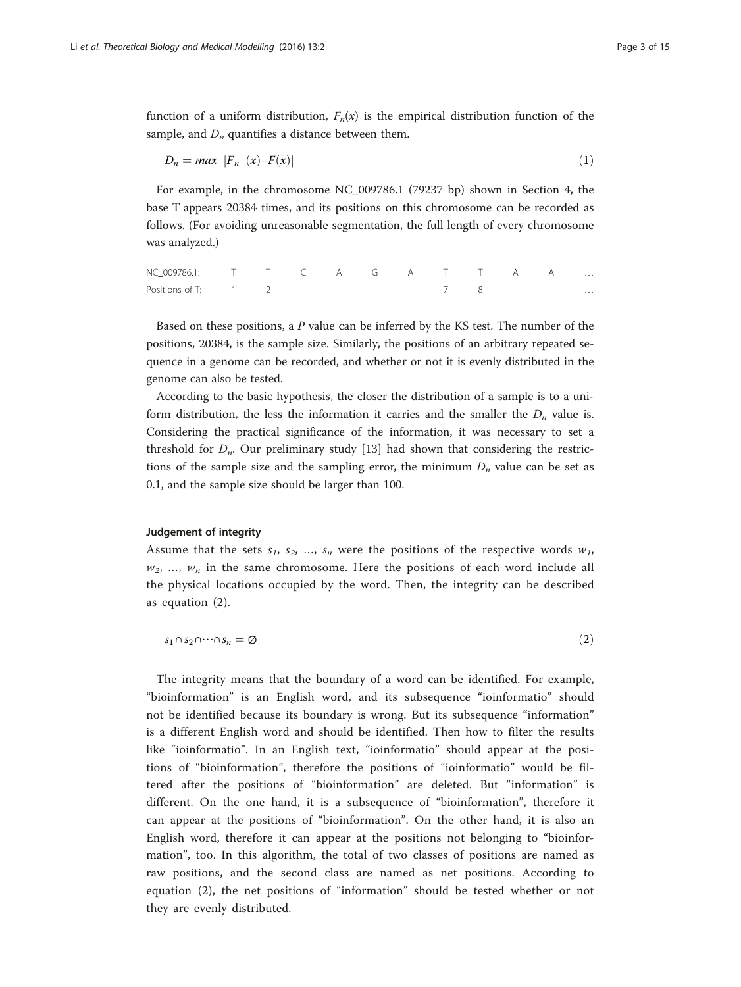<span id="page-2-0"></span>function of a uniform distribution,  $F_n(x)$  is the empirical distribution function of the sample, and  $D_n$  quantifies a distance between them.

$$
D_n = \max |F_n(x) - F(x)| \tag{1}
$$

For example, in the chromosome NC\_009786.1 (79237 bp) shown in Section 4, the base T appears 20384 times, and its positions on this chromosome can be recorded as follows. (For avoiding unreasonable segmentation, the full length of every chromosome was analyzed.)

| NC 009786.1: T T C A G A T T A A |  |  |     |  |  |          |
|----------------------------------|--|--|-----|--|--|----------|
| Positions of T: 1 2              |  |  | 7 8 |  |  | $\cdots$ |

Based on these positions, a P value can be inferred by the KS test. The number of the positions, 20384, is the sample size. Similarly, the positions of an arbitrary repeated sequence in a genome can be recorded, and whether or not it is evenly distributed in the genome can also be tested.

According to the basic hypothesis, the closer the distribution of a sample is to a uniform distribution, the less the information it carries and the smaller the  $D_n$  value is. Considering the practical significance of the information, it was necessary to set a threshold for  $D_n$ . Our preliminary study [[13\]](#page--1-0) had shown that considering the restrictions of the sample size and the sampling error, the minimum  $D_n$  value can be set as 0.1, and the sample size should be larger than 100.

#### Judgement of integrity

Assume that the sets  $s_1$ ,  $s_2$ , ...,  $s_n$  were the positions of the respective words  $w_1$ ,  $w_2, ..., w_n$  in the same chromosome. Here the positions of each word include all the physical locations occupied by the word. Then, the integrity can be described as equation (2).

$$
s_1 \cap s_2 \cap \dots \cap s_n = \emptyset \tag{2}
$$

The integrity means that the boundary of a word can be identified. For example, "bioinformation" is an English word, and its subsequence "ioinformatio" should not be identified because its boundary is wrong. But its subsequence "information" is a different English word and should be identified. Then how to filter the results like "ioinformatio". In an English text, "ioinformatio" should appear at the positions of "bioinformation", therefore the positions of "ioinformatio" would be filtered after the positions of "bioinformation" are deleted. But "information" is different. On the one hand, it is a subsequence of "bioinformation", therefore it can appear at the positions of "bioinformation". On the other hand, it is also an English word, therefore it can appear at the positions not belonging to "bioinformation", too. In this algorithm, the total of two classes of positions are named as raw positions, and the second class are named as net positions. According to equation (2), the net positions of "information" should be tested whether or not they are evenly distributed.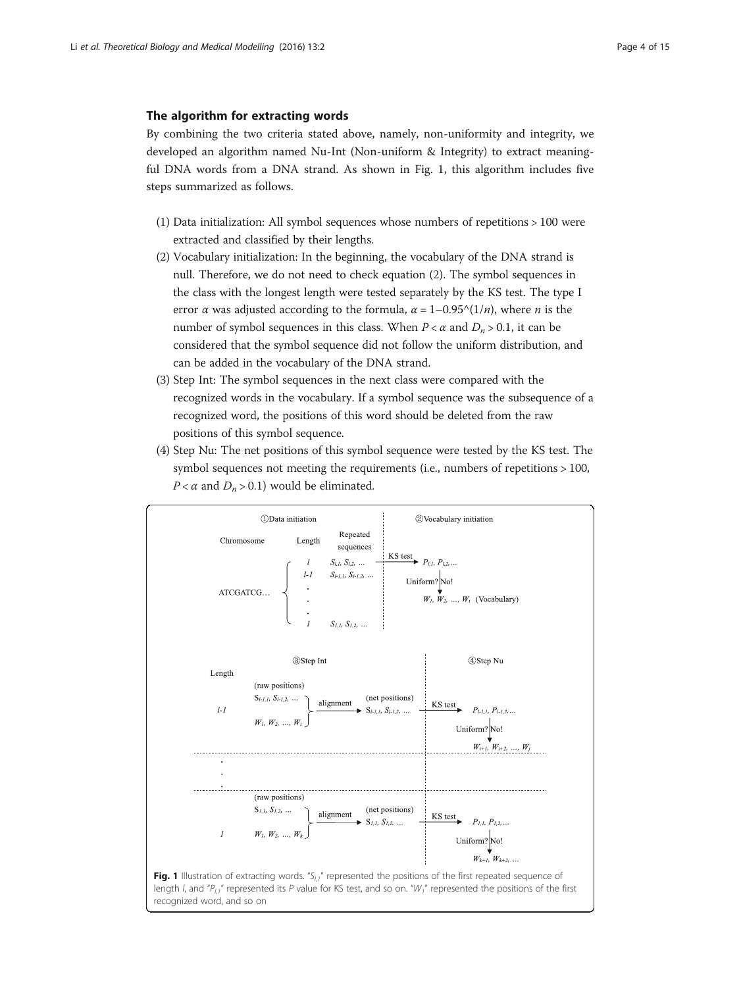### The algorithm for extracting words

By combining the two criteria stated above, namely, non-uniformity and integrity, we developed an algorithm named Nu-Int (Non-uniform & Integrity) to extract meaningful DNA words from a DNA strand. As shown in Fig. 1, this algorithm includes five steps summarized as follows.

- (1) Data initialization: All symbol sequences whose numbers of repetitions > 100 were extracted and classified by their lengths.
- (2) Vocabulary initialization: In the beginning, the vocabulary of the DNA strand is null. Therefore, we do not need to check equation [\(2](#page-2-0)). The symbol sequences in the class with the longest length were tested separately by the KS test. The type I error  $\alpha$  was adjusted according to the formula,  $\alpha = 1 - 0.95^{\circ}(1/n)$ , where *n* is the number of symbol sequences in this class. When  $P < \alpha$  and  $D_n > 0.1$ , it can be considered that the symbol sequence did not follow the uniform distribution, and can be added in the vocabulary of the DNA strand.
- (3) Step Int: The symbol sequences in the next class were compared with the recognized words in the vocabulary. If a symbol sequence was the subsequence of a recognized word, the positions of this word should be deleted from the raw positions of this symbol sequence.
- (4) Step Nu: The net positions of this symbol sequence were tested by the KS test. The symbol sequences not meeting the requirements (i.e., numbers of repetitions > 100,  $P < \alpha$  and  $D_n > 0.1$ ) would be eliminated.

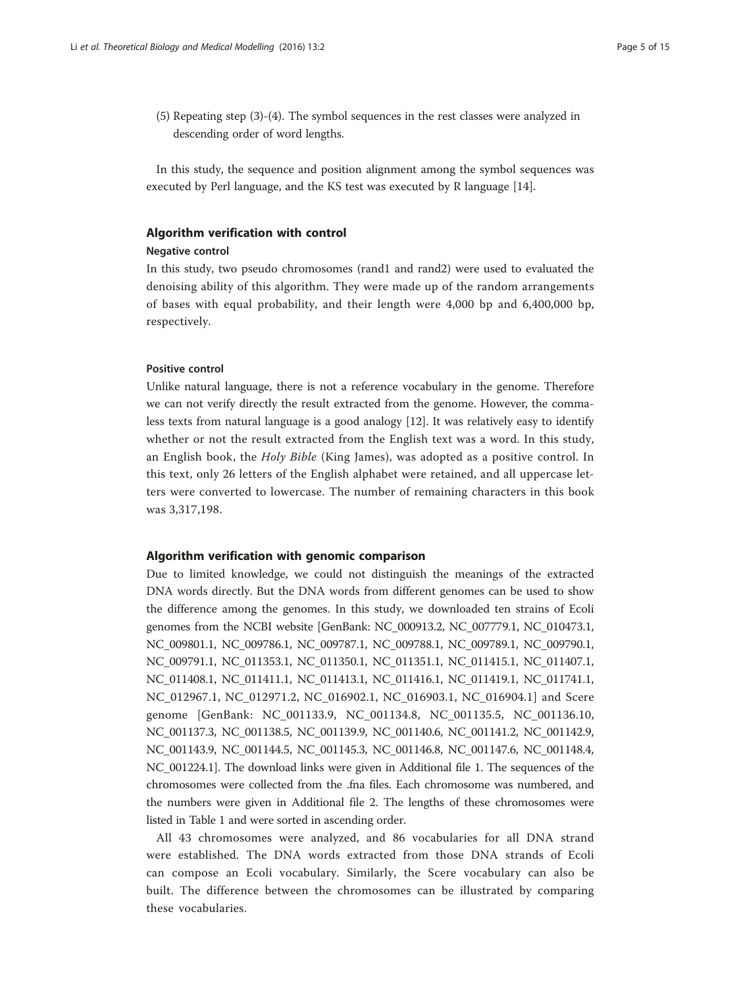(5) Repeating step (3)-(4). The symbol sequences in the rest classes were analyzed in descending order of word lengths.

In this study, the sequence and position alignment among the symbol sequences was executed by Perl language, and the KS test was executed by R language [[14\]](#page--1-0).

#### Algorithm verification with control

## Negative control

In this study, two pseudo chromosomes (rand1 and rand2) were used to evaluated the denoising ability of this algorithm. They were made up of the random arrangements of bases with equal probability, and their length were 4,000 bp and 6,400,000 bp, respectively.

## Positive control

Unlike natural language, there is not a reference vocabulary in the genome. Therefore we can not verify directly the result extracted from the genome. However, the commaless texts from natural language is a good analogy [[12](#page--1-0)]. It was relatively easy to identify whether or not the result extracted from the English text was a word. In this study, an English book, the *Holy Bible* (King James), was adopted as a positive control. In this text, only 26 letters of the English alphabet were retained, and all uppercase letters were converted to lowercase. The number of remaining characters in this book was 3,317,198.

#### Algorithm verification with genomic comparison

Due to limited knowledge, we could not distinguish the meanings of the extracted DNA words directly. But the DNA words from different genomes can be used to show the difference among the genomes. In this study, we downloaded ten strains of Ecoli genomes from the NCBI website [GenBank: NC\_000913.2, NC\_007779.1, NC\_010473.1, NC\_009801.1, NC\_009786.1, NC\_009787.1, NC\_009788.1, NC\_009789.1, NC\_009790.1, NC\_009791.1, NC\_011353.1, NC\_011350.1, NC\_011351.1, NC\_011415.1, NC\_011407.1, NC\_011408.1, NC\_011411.1, NC\_011413.1, NC\_011416.1, NC\_011419.1, NC\_011741.1, NC\_012967.1, NC\_012971.2, NC\_016902.1, NC\_016903.1, NC\_016904.1] and Scere genome [GenBank: NC\_001133.9, NC\_001134.8, NC\_001135.5, NC\_001136.10, NC\_001137.3, NC\_001138.5, NC\_001139.9, NC\_001140.6, NC\_001141.2, NC\_001142.9, NC\_001143.9, NC\_001144.5, NC\_001145.3, NC\_001146.8, NC\_001147.6, NC\_001148.4, NC\_001224.1]. The download links were given in Additional file [1](#page-13-0). The sequences of the chromosomes were collected from the .fna files. Each chromosome was numbered, and the numbers were given in Additional file [2](#page-13-0). The lengths of these chromosomes were listed in Table [1](#page-5-0) and were sorted in ascending order.

All 43 chromosomes were analyzed, and 86 vocabularies for all DNA strand were established. The DNA words extracted from those DNA strands of Ecoli can compose an Ecoli vocabulary. Similarly, the Scere vocabulary can also be built. The difference between the chromosomes can be illustrated by comparing these vocabularies.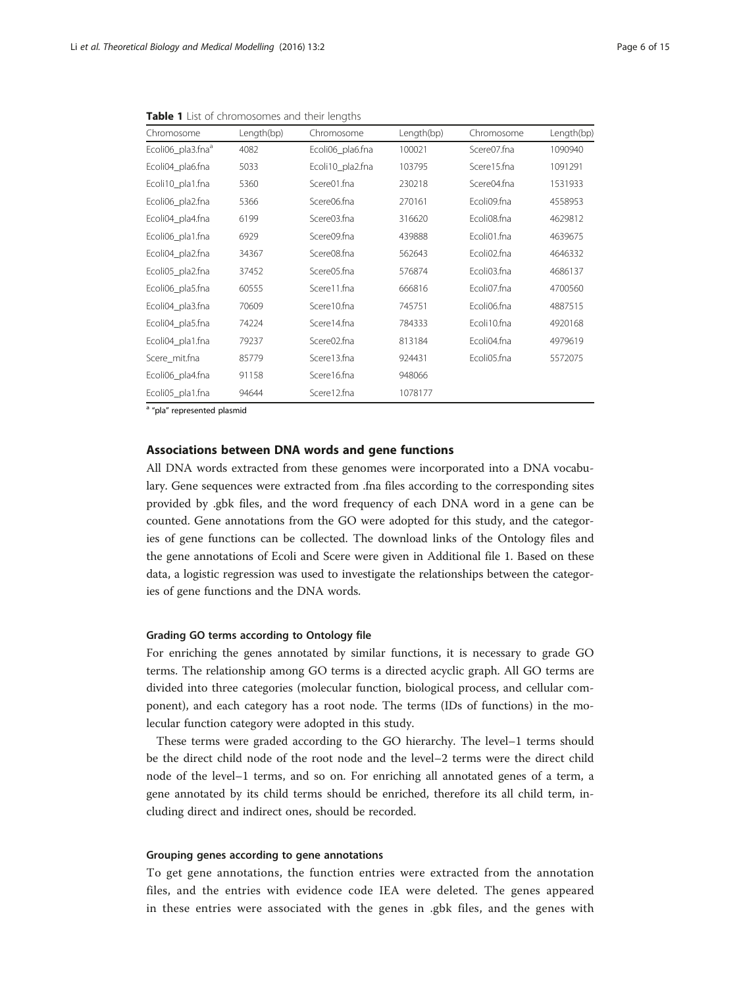| Chromosome                    | Length(bp) | Chromosome       | Length(bp) | Chromosome  | Length(bp) |
|-------------------------------|------------|------------------|------------|-------------|------------|
| Ecoli06_pla3.fna <sup>a</sup> | 4082       | Ecoli06_pla6.fna | 100021     | Scere07.fna | 1090940    |
| Ecoli04_pla6.fna              | 5033       | Ecoli10_pla2.fna | 103795     | Scere15.fna | 1091291    |
| Ecoli10_pla1.fna              | 5360       | Scere01.fna      | 230218     | Scere04.fna | 1531933    |
| Ecoli06_pla2.fna              | 5366       | Scere06.fna      | 270161     | Ecoli09.fna | 4558953    |
| Ecoli04_pla4.fna              | 6199       | Scere03.fna      | 316620     | Ecoli08.fna | 4629812    |
| Ecoli06_pla1.fna              | 6929       | Scere09.fna      | 439888     | Ecoli01.fna | 4639675    |
| Ecoli04 pla2.fna              | 34367      | Scere08.fna      | 562643     | Ecoli02.fna | 4646332    |
| Ecoli05_pla2.fna              | 37452      | Scere05.fna      | 576874     | Ecoli03.fna | 4686137    |
| Ecoli06_pla5.fna              | 60555      | Scere11.fna      | 666816     | Ecoli07.fna | 4700560    |
| Ecoli04_pla3.fna              | 70609      | Scere10.fna      | 745751     | Ecoli06.fna | 4887515    |
| Ecoli04_pla5.fna              | 74224      | Scere14.fna      | 784333     | Ecoli10.fna | 4920168    |
| Ecoli04_pla1.fna              | 79237      | Scere02.fna      | 813184     | Ecoli04.fna | 4979619    |
| Scere_mit.fna                 | 85779      | Scere13.fna      | 924431     | Ecoli05.fna | 5572075    |
| Ecoli06_pla4.fna              | 91158      | Scere16.fna      | 948066     |             |            |
| Ecoli05_pla1.fna              | 94644      | Scere12.fna      | 1078177    |             |            |

<span id="page-5-0"></span>Table 1 List of chromosomes and their lengths

<sup>a</sup> "pla" represented plasmid

### Associations between DNA words and gene functions

All DNA words extracted from these genomes were incorporated into a DNA vocabulary. Gene sequences were extracted from .fna files according to the corresponding sites provided by .gbk files, and the word frequency of each DNA word in a gene can be counted. Gene annotations from the GO were adopted for this study, and the categories of gene functions can be collected. The download links of the Ontology files and the gene annotations of Ecoli and Scere were given in Additional file [1](#page-13-0). Based on these data, a logistic regression was used to investigate the relationships between the categories of gene functions and the DNA words.

## Grading GO terms according to Ontology file

For enriching the genes annotated by similar functions, it is necessary to grade GO terms. The relationship among GO terms is a directed acyclic graph. All GO terms are divided into three categories (molecular function, biological process, and cellular component), and each category has a root node. The terms (IDs of functions) in the molecular function category were adopted in this study.

These terms were graded according to the GO hierarchy. The level–1 terms should be the direct child node of the root node and the level–2 terms were the direct child node of the level–1 terms, and so on. For enriching all annotated genes of a term, a gene annotated by its child terms should be enriched, therefore its all child term, including direct and indirect ones, should be recorded.

#### Grouping genes according to gene annotations

To get gene annotations, the function entries were extracted from the annotation files, and the entries with evidence code IEA were deleted. The genes appeared in these entries were associated with the genes in .gbk files, and the genes with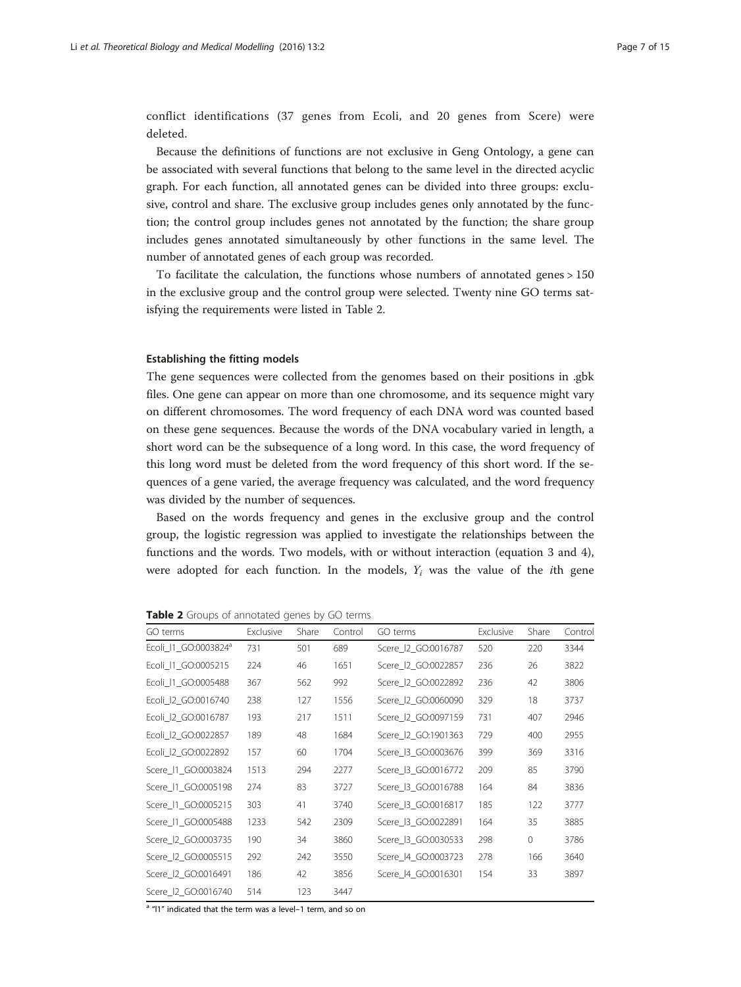conflict identifications (37 genes from Ecoli, and 20 genes from Scere) were deleted.

Because the definitions of functions are not exclusive in Geng Ontology, a gene can be associated with several functions that belong to the same level in the directed acyclic graph. For each function, all annotated genes can be divided into three groups: exclusive, control and share. The exclusive group includes genes only annotated by the function; the control group includes genes not annotated by the function; the share group includes genes annotated simultaneously by other functions in the same level. The number of annotated genes of each group was recorded.

To facilitate the calculation, the functions whose numbers of annotated genes > 150 in the exclusive group and the control group were selected. Twenty nine GO terms satisfying the requirements were listed in Table 2.

### Establishing the fitting models

The gene sequences were collected from the genomes based on their positions in .gbk files. One gene can appear on more than one chromosome, and its sequence might vary on different chromosomes. The word frequency of each DNA word was counted based on these gene sequences. Because the words of the DNA vocabulary varied in length, a short word can be the subsequence of a long word. In this case, the word frequency of this long word must be deleted from the word frequency of this short word. If the sequences of a gene varied, the average frequency was calculated, and the word frequency was divided by the number of sequences.

Based on the words frequency and genes in the exclusive group and the control group, the logistic regression was applied to investigate the relationships between the functions and the words. Two models, with or without interaction (equation 3 and 4), were adopted for each function. In the models,  $Y_i$  was the value of the *i*th gene

| GO terms                         | Exclusive | Share | Control | GO terms            | Exclusive | Share        | Control |
|----------------------------------|-----------|-------|---------|---------------------|-----------|--------------|---------|
| Ecoli_l1_GO:0003824 <sup>a</sup> | 731       | 501   | 689     | Scere 12 GO:0016787 | 520       | 220          | 3344    |
| Ecoli I1 GO:0005215              | 224       | 46    | 1651    | Scere 12 GO:0022857 | 236       | 26           | 3822    |
| Ecoli_l1_GO:0005488              | 367       | 562   | 992     | Scere 12 GO:0022892 | 236       | 42           | 3806    |
| Ecoli I2 GO:0016740              | 238       | 127   | 1556    | Scere 12 GO:0060090 | 329       | 18           | 3737    |
| Ecoli I2 GO:0016787              | 193       | 217   | 1511    | Scere 12 GO:0097159 | 731       | 407          | 2946    |
| Ecoli_l2_GO:0022857              | 189       | 48    | 1684    | Scere 12 GO:1901363 | 729       | 400          | 2955    |
| Ecoli_l2_GO:0022892              | 157       | 60    | 1704    | Scere 13 GO:0003676 | 399       | 369          | 3316    |
| Scere 11 GO:0003824              | 1513      | 294   | 2277    | Scere 13 GO:0016772 | 209       | 85           | 3790    |
| Scere 11 GO:0005198              | 274       | 83    | 3727    | Scere 13 GO:0016788 | 164       | 84           | 3836    |
| Scere 11 GO:0005215              | 303       | 41    | 3740    | Scere 13 GO:0016817 | 185       | 122          | 3777    |
| Scere 11 GO:0005488              | 1233      | 542   | 2309    | Scere 13 GO:0022891 | 164       | 35           | 3885    |
| Scere I2 GO:0003735              | 190       | 34    | 3860    | Scere 13 GO:0030533 | 298       | $\mathbf{0}$ | 3786    |
| Scere_I2_GO:0005515              | 292       | 242   | 3550    | Scere_l4_GO:0003723 | 278       | 166          | 3640    |
| Scere_I2_GO:0016491              | 186       | 42    | 3856    | Scere_l4_GO:0016301 | 154       | 33           | 3897    |
| Scere I2 GO:0016740              | 514       | 123   | 3447    |                     |           |              |         |

Table 2 Groups of annotated genes by GO terms

<sup>a</sup> "l1" indicated that the term was a level-1 term, and so on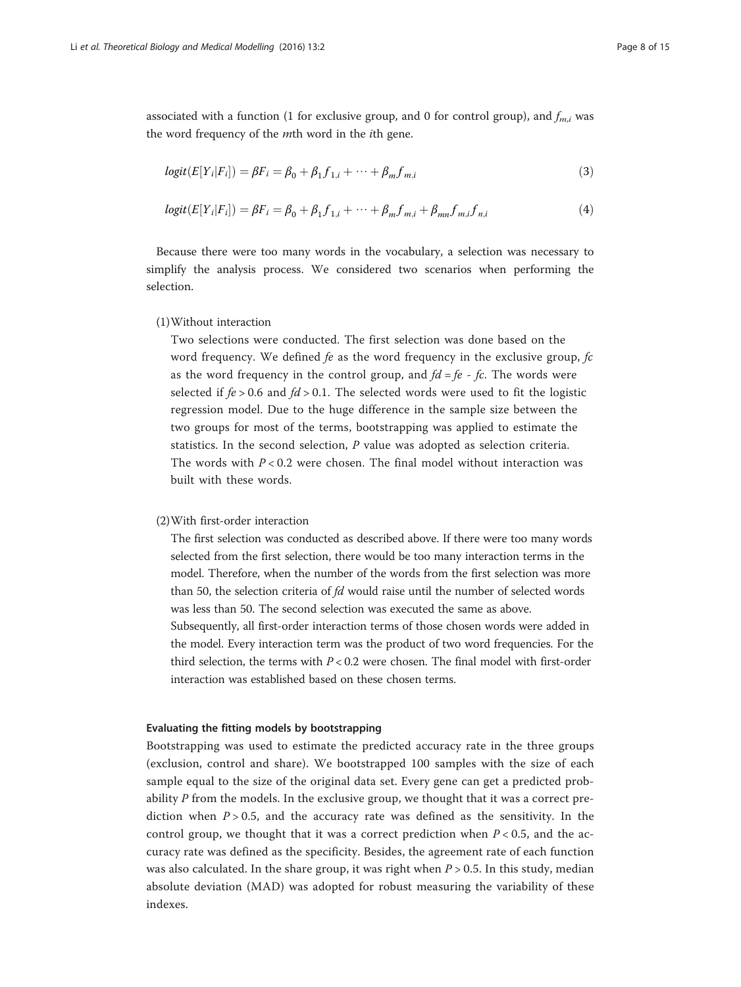associated with a function (1 for exclusive group, and 0 for control group), and  $f_{m,i}$  was the word frequency of the *m*th word in the *i*th gene.

$$
logit(E[Y_i|F_i]) = \beta F_i = \beta_0 + \beta_1 f_{1,i} + \dots + \beta_m f_{m,i}
$$
\n(3)

$$
logit(E[Y_i|F_i]) = \beta F_i = \beta_0 + \beta_1 f_{1,i} + \dots + \beta_m f_{m,i} + \beta_{mn} f_{m,i} f_{n,i}
$$
(4)

Because there were too many words in the vocabulary, a selection was necessary to simplify the analysis process. We considered two scenarios when performing the selection.

## (1)Without interaction

Two selections were conducted. The first selection was done based on the word frequency. We defined  $fe$  as the word frequency in the exclusive group,  $fc$ as the word frequency in the control group, and  $fd = fe - fc$ . The words were selected if  $fe > 0.6$  and  $fd > 0.1$ . The selected words were used to fit the logistic regression model. Due to the huge difference in the sample size between the two groups for most of the terms, bootstrapping was applied to estimate the statistics. In the second selection, P value was adopted as selection criteria. The words with  $P < 0.2$  were chosen. The final model without interaction was built with these words.

### (2)With first-order interaction

The first selection was conducted as described above. If there were too many words selected from the first selection, there would be too many interaction terms in the model. Therefore, when the number of the words from the first selection was more than 50, the selection criteria of  $fd$  would raise until the number of selected words was less than 50. The second selection was executed the same as above. Subsequently, all first-order interaction terms of those chosen words were added in the model. Every interaction term was the product of two word frequencies. For the third selection, the terms with  $P < 0.2$  were chosen. The final model with first-order interaction was established based on these chosen terms.

## Evaluating the fitting models by bootstrapping

Bootstrapping was used to estimate the predicted accuracy rate in the three groups (exclusion, control and share). We bootstrapped 100 samples with the size of each sample equal to the size of the original data set. Every gene can get a predicted probability  $P$  from the models. In the exclusive group, we thought that it was a correct prediction when  $P > 0.5$ , and the accuracy rate was defined as the sensitivity. In the control group, we thought that it was a correct prediction when  $P < 0.5$ , and the accuracy rate was defined as the specificity. Besides, the agreement rate of each function was also calculated. In the share group, it was right when  $P > 0.5$ . In this study, median absolute deviation (MAD) was adopted for robust measuring the variability of these indexes.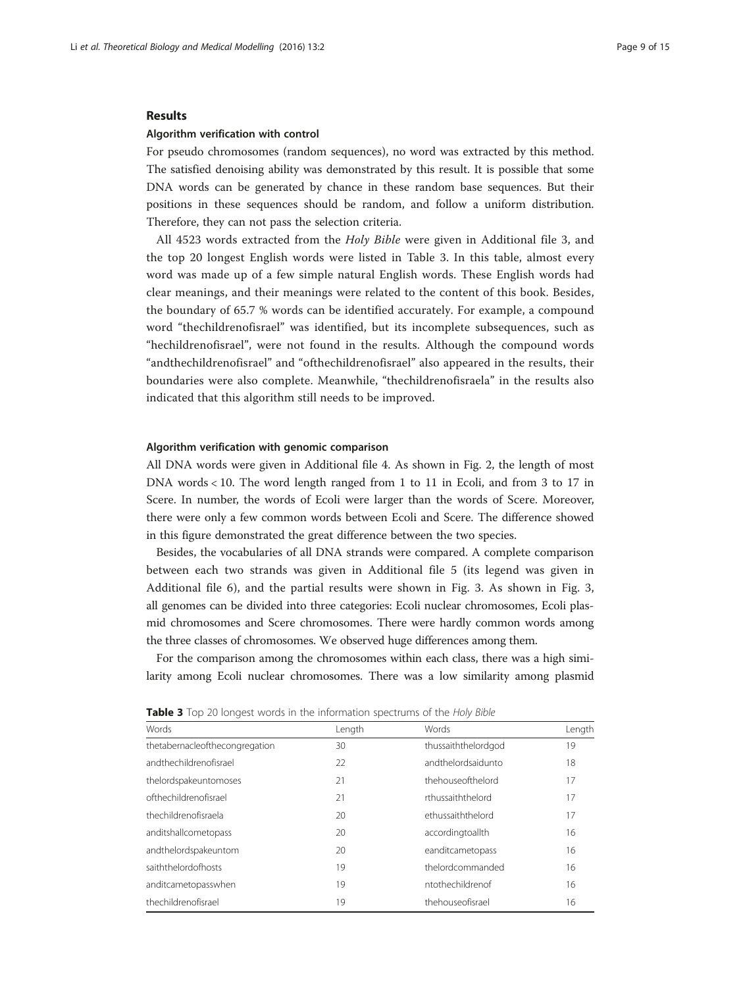#### Results

#### Algorithm verification with control

For pseudo chromosomes (random sequences), no word was extracted by this method. The satisfied denoising ability was demonstrated by this result. It is possible that some DNA words can be generated by chance in these random base sequences. But their positions in these sequences should be random, and follow a uniform distribution. Therefore, they can not pass the selection criteria.

All 4523 words extracted from the Holy Bible were given in Additional file [3](#page-13-0), and the top 20 longest English words were listed in Table 3. In this table, almost every word was made up of a few simple natural English words. These English words had clear meanings, and their meanings were related to the content of this book. Besides, the boundary of 65.7 % words can be identified accurately. For example, a compound word "thechildrenofisrael" was identified, but its incomplete subsequences, such as "hechildrenofisrael", were not found in the results. Although the compound words "andthechildrenofisrael" and "ofthechildrenofisrael" also appeared in the results, their boundaries were also complete. Meanwhile, "thechildrenofisraela" in the results also indicated that this algorithm still needs to be improved.

#### Algorithm verification with genomic comparison

All DNA words were given in Additional file [4.](#page-13-0) As shown in Fig. [2](#page-9-0), the length of most DNA words < 10. The word length ranged from 1 to 11 in Ecoli, and from 3 to 17 in Scere. In number, the words of Ecoli were larger than the words of Scere. Moreover, there were only a few common words between Ecoli and Scere. The difference showed in this figure demonstrated the great difference between the two species.

Besides, the vocabularies of all DNA strands were compared. A complete comparison between each two strands was given in Additional file [5](#page-13-0) (its legend was given in Additional file [6\)](#page-13-0), and the partial results were shown in Fig. [3.](#page-9-0) As shown in Fig. [3](#page-9-0), all genomes can be divided into three categories: Ecoli nuclear chromosomes, Ecoli plasmid chromosomes and Scere chromosomes. There were hardly common words among the three classes of chromosomes. We observed huge differences among them.

For the comparison among the chromosomes within each class, there was a high similarity among Ecoli nuclear chromosomes. There was a low similarity among plasmid

| Words                          | Length | <b>Words</b>        | Length |
|--------------------------------|--------|---------------------|--------|
| thetabernacleofthecongregation | 30     | thussaiththelordgod | 19     |
| andthechildrenofisrael         | 22     | andthelordsaidunto  | 18     |
| thelordspakeuntomoses          | 21     | thehouseofthelord   | 17     |
| ofthechildrenofisrael          | 21     | rthussaiththelord   | 17     |
| thechildrenofisraela           | 20     | ethussaiththelord   | 17     |
| anditshallcometopass           | 20     | accordingtoallth    | 16     |
| andthelordspakeuntom           | 20     | eanditcametopass    | 16     |
| saiththelordofhosts            | 19     | thelordcommanded    | 16     |
| anditcametopasswhen            | 19     | ntothechildrenof    | 16     |
| thechildrenofisrael            | 19     | thehouseofisrael    | 16     |

|  |  |  |  | <b>Table 3</b> Top 20 longest words in the information spectrums of the Holy Bible |  |
|--|--|--|--|------------------------------------------------------------------------------------|--|
|--|--|--|--|------------------------------------------------------------------------------------|--|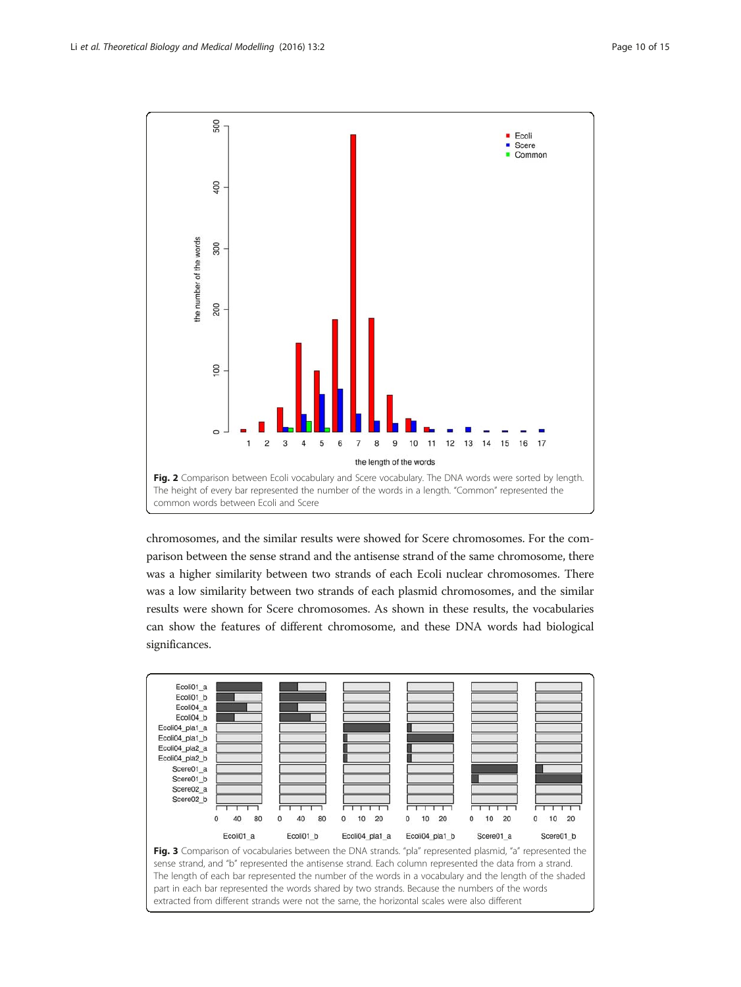<span id="page-9-0"></span>

chromosomes, and the similar results were showed for Scere chromosomes. For the comparison between the sense strand and the antisense strand of the same chromosome, there was a higher similarity between two strands of each Ecoli nuclear chromosomes. There was a low similarity between two strands of each plasmid chromosomes, and the similar results were shown for Scere chromosomes. As shown in these results, the vocabularies can show the features of different chromosome, and these DNA words had biological significances.

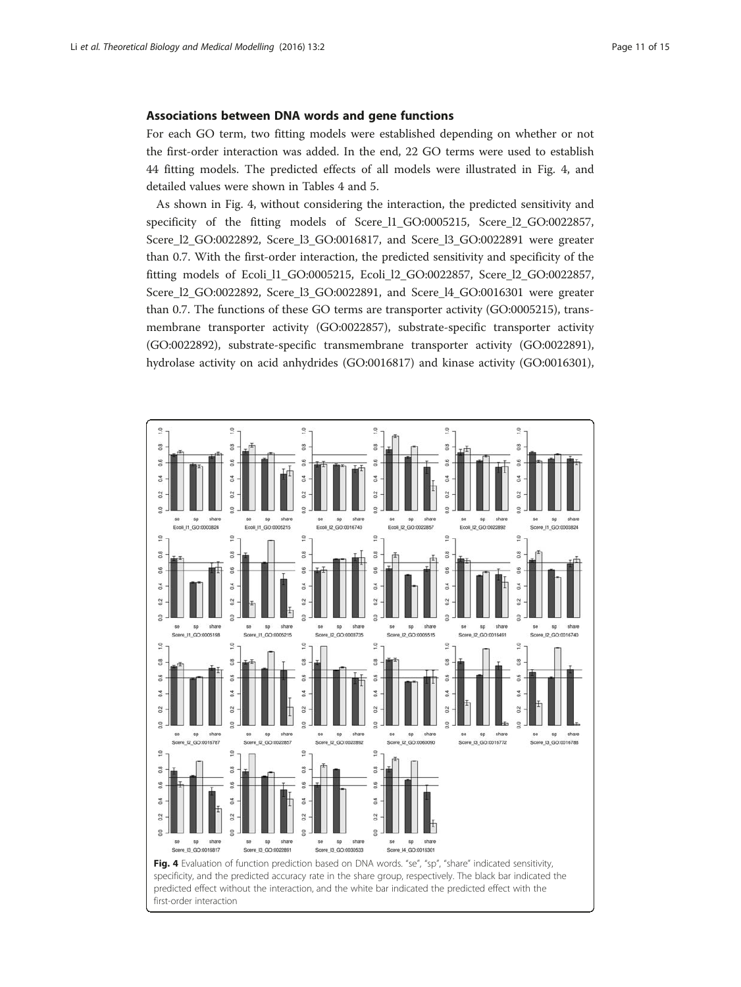#### Associations between DNA words and gene functions

For each GO term, two fitting models were established depending on whether or not the first-order interaction was added. In the end, 22 GO terms were used to establish 44 fitting models. The predicted effects of all models were illustrated in Fig. 4, and detailed values were shown in Tables [4](#page-11-0) and [5.](#page-12-0)

As shown in Fig. 4, without considering the interaction, the predicted sensitivity and specificity of the fitting models of Scere\_l1\_GO:0005215, Scere\_l2\_GO:0022857, Scere 12 GO:0022892, Scere 13 GO:0016817, and Scere 13 GO:0022891 were greater than 0.7. With the first-order interaction, the predicted sensitivity and specificity of the fitting models of Ecoli\_l1\_GO:0005215, Ecoli\_l2\_GO:0022857, Scere\_l2\_GO:0022857, Scere\_l2\_GO:0022892, Scere\_l3\_GO:0022891, and Scere\_l4\_GO:0016301 were greater than 0.7. The functions of these GO terms are transporter activity (GO:0005215), transmembrane transporter activity (GO:0022857), substrate-specific transporter activity (GO:0022892), substrate-specific transmembrane transporter activity (GO:0022891), hydrolase activity on acid anhydrides (GO:0016817) and kinase activity (GO:0016301),

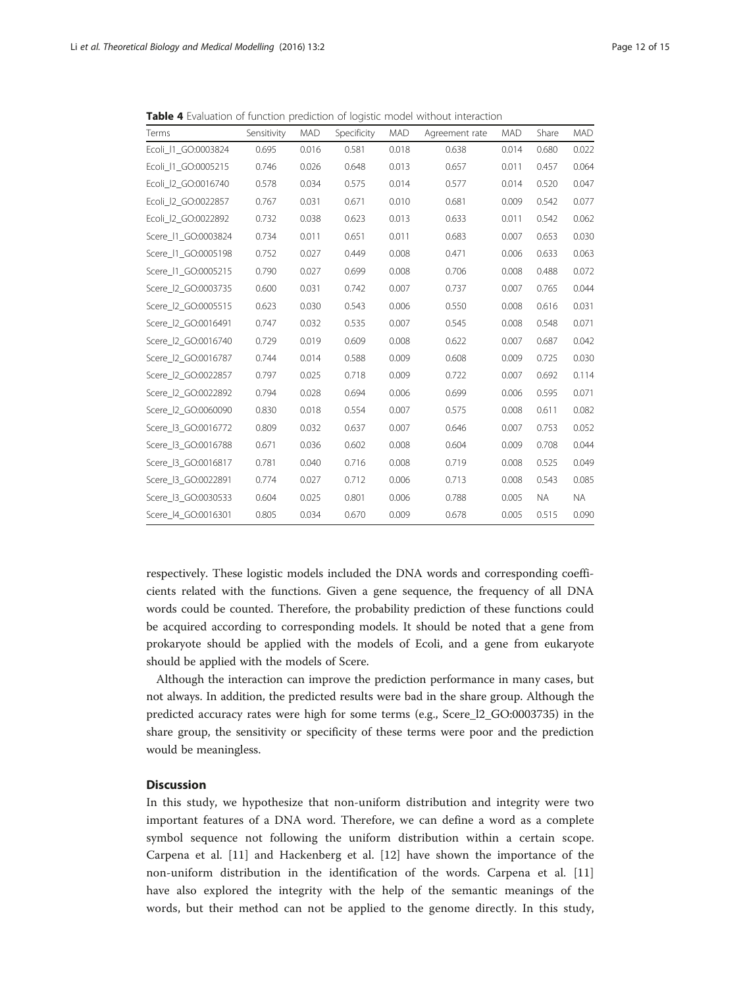| Terms               | Sensitivity | <b>MAD</b> | Specificity | <b>MAD</b> | Agreement rate | <b>MAD</b> | Share     | <b>MAD</b> |
|---------------------|-------------|------------|-------------|------------|----------------|------------|-----------|------------|
| Ecoli_l1_GO:0003824 | 0.695       | 0.016      | 0.581       | 0.018      | 0.638          | 0.014      | 0.680     | 0.022      |
| Ecoli I1 GO:0005215 | 0.746       | 0.026      | 0.648       | 0.013      | 0.657          | 0.011      | 0.457     | 0.064      |
| Ecoli I2 GO:0016740 | 0.578       | 0.034      | 0.575       | 0.014      | 0.577          | 0.014      | 0.520     | 0.047      |
| Ecoli I2 GO:0022857 | 0.767       | 0.031      | 0.671       | 0.010      | 0.681          | 0.009      | 0.542     | 0.077      |
| Ecoli I2 GO:0022892 | 0.732       | 0.038      | 0.623       | 0.013      | 0.633          | 0.011      | 0.542     | 0.062      |
| Scere_l1_GO:0003824 | 0.734       | 0.011      | 0.651       | 0.011      | 0.683          | 0.007      | 0.653     | 0.030      |
| Scere 11 GO:0005198 | 0.752       | 0.027      | 0.449       | 0.008      | 0.471          | 0.006      | 0.633     | 0.063      |
| Scere 11 GO:0005215 | 0.790       | 0.027      | 0.699       | 0.008      | 0.706          | 0.008      | 0.488     | 0.072      |
| Scere I2 GO:0003735 | 0.600       | 0.031      | 0.742       | 0.007      | 0.737          | 0.007      | 0.765     | 0.044      |
| Scere I2 GO:0005515 | 0.623       | 0.030      | 0.543       | 0.006      | 0.550          | 0.008      | 0.616     | 0.031      |
| Scere I2 GO:0016491 | 0.747       | 0.032      | 0.535       | 0.007      | 0.545          | 0.008      | 0.548     | 0.071      |
| Scere I2 GO:0016740 | 0.729       | 0.019      | 0.609       | 0.008      | 0.622          | 0.007      | 0.687     | 0.042      |
| Scere I2 GO:0016787 | 0.744       | 0.014      | 0.588       | 0.009      | 0.608          | 0.009      | 0.725     | 0.030      |
| Scere I2 GO:0022857 | 0.797       | 0.025      | 0.718       | 0.009      | 0.722          | 0.007      | 0.692     | 0.114      |
| Scere I2 GO:0022892 | 0.794       | 0.028      | 0.694       | 0.006      | 0.699          | 0.006      | 0.595     | 0.071      |
| Scere_I2_GO:0060090 | 0.830       | 0.018      | 0.554       | 0.007      | 0.575          | 0.008      | 0.611     | 0.082      |
| Scere 13 GO:0016772 | 0.809       | 0.032      | 0.637       | 0.007      | 0.646          | 0.007      | 0.753     | 0.052      |
| Scere 13 GO:0016788 | 0.671       | 0.036      | 0.602       | 0.008      | 0.604          | 0.009      | 0.708     | 0.044      |
| Scere 13 GO:0016817 | 0.781       | 0.040      | 0.716       | 0.008      | 0.719          | 0.008      | 0.525     | 0.049      |
| Scere 13 GO:0022891 | 0.774       | 0.027      | 0.712       | 0.006      | 0.713          | 0.008      | 0.543     | 0.085      |
| Scere 13 GO:0030533 | 0.604       | 0.025      | 0.801       | 0.006      | 0.788          | 0.005      | <b>NA</b> | NA.        |
| Scere 14 GO:0016301 | 0.805       | 0.034      | 0.670       | 0.009      | 0.678          | 0.005      | 0.515     | 0.090      |

<span id="page-11-0"></span>Table 4 Evaluation of function prediction of logistic model without interaction

respectively. These logistic models included the DNA words and corresponding coefficients related with the functions. Given a gene sequence, the frequency of all DNA words could be counted. Therefore, the probability prediction of these functions could be acquired according to corresponding models. It should be noted that a gene from prokaryote should be applied with the models of Ecoli, and a gene from eukaryote should be applied with the models of Scere.

Although the interaction can improve the prediction performance in many cases, but not always. In addition, the predicted results were bad in the share group. Although the predicted accuracy rates were high for some terms (e.g., Scere\_l2\_GO:0003735) in the share group, the sensitivity or specificity of these terms were poor and the prediction would be meaningless.

#### **Discussion**

In this study, we hypothesize that non-uniform distribution and integrity were two important features of a DNA word. Therefore, we can define a word as a complete symbol sequence not following the uniform distribution within a certain scope. Carpena et al. [[11\]](#page--1-0) and Hackenberg et al. [[12\]](#page--1-0) have shown the importance of the non-uniform distribution in the identification of the words. Carpena et al. [\[11](#page--1-0)] have also explored the integrity with the help of the semantic meanings of the words, but their method can not be applied to the genome directly. In this study,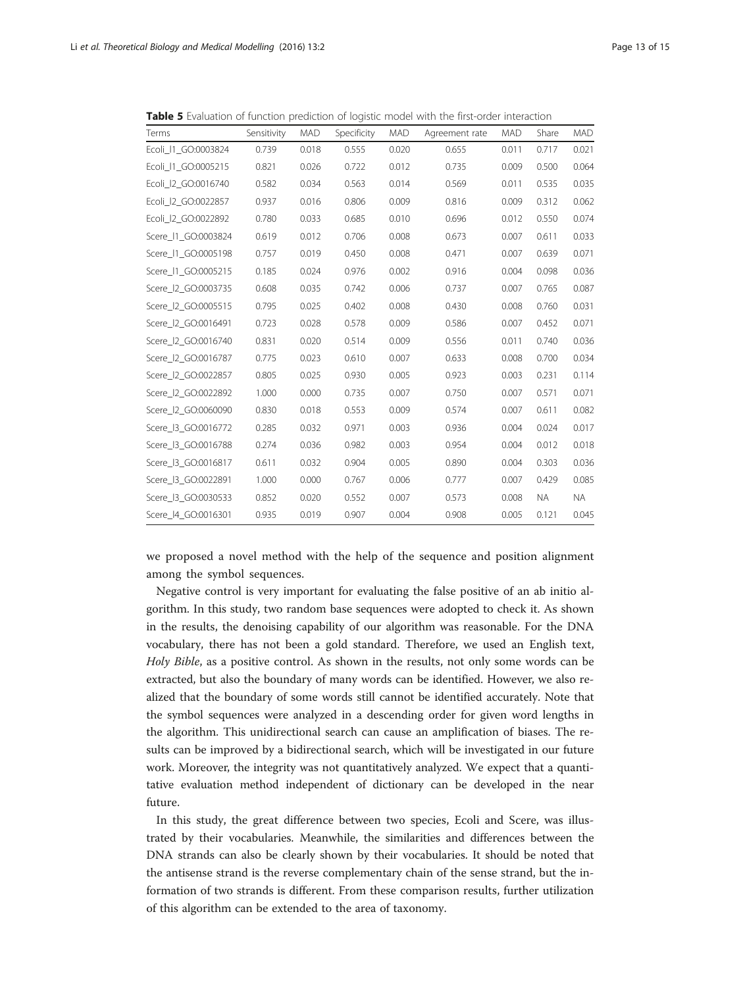| Terms               | Sensitivity | <b>MAD</b> | Specificity | <b>MAD</b> | Agreement rate | <b>MAD</b> | Share     | <b>MAD</b> |
|---------------------|-------------|------------|-------------|------------|----------------|------------|-----------|------------|
| Ecoli_l1_GO:0003824 | 0.739       | 0.018      | 0.555       | 0.020      | 0.655          | 0.011      | 0.717     | 0.021      |
| Ecoli I1 GO:0005215 | 0.821       | 0.026      | 0.722       | 0.012      | 0.735          | 0.009      | 0.500     | 0.064      |
| Ecoli I2 GO:0016740 | 0.582       | 0.034      | 0.563       | 0.014      | 0.569          | 0.011      | 0.535     | 0.035      |
| Ecoli I2 GO:0022857 | 0.937       | 0.016      | 0.806       | 0.009      | 0.816          | 0.009      | 0.312     | 0.062      |
| Ecoli_l2_GO:0022892 | 0.780       | 0.033      | 0.685       | 0.010      | 0.696          | 0.012      | 0.550     | 0.074      |
| Scere 11 GO:0003824 | 0.619       | 0.012      | 0.706       | 0.008      | 0.673          | 0.007      | 0.611     | 0.033      |
| Scere 11 GO:0005198 | 0.757       | 0.019      | 0.450       | 0.008      | 0.471          | 0.007      | 0.639     | 0.071      |
| Scere 11 GO:0005215 | 0.185       | 0.024      | 0.976       | 0.002      | 0.916          | 0.004      | 0.098     | 0.036      |
| Scere 12 GO:0003735 | 0.608       | 0.035      | 0.742       | 0.006      | 0.737          | 0.007      | 0.765     | 0.087      |
| Scere I2 GO:0005515 | 0.795       | 0.025      | 0.402       | 0.008      | 0.430          | 0.008      | 0.760     | 0.031      |
| Scere  2 GO:0016491 | 0.723       | 0.028      | 0.578       | 0.009      | 0.586          | 0.007      | 0.452     | 0.071      |
| Scere I2 GO:0016740 | 0.831       | 0.020      | 0.514       | 0.009      | 0.556          | 0.011      | 0.740     | 0.036      |
| Scere_I2_GO:0016787 | 0.775       | 0.023      | 0.610       | 0.007      | 0.633          | 0.008      | 0.700     | 0.034      |
| Scere I2 GO:0022857 | 0.805       | 0.025      | 0.930       | 0.005      | 0.923          | 0.003      | 0.231     | 0.114      |
| Scere I2 GO:0022892 | 1.000       | 0.000      | 0.735       | 0.007      | 0.750          | 0.007      | 0.571     | 0.071      |
| Scere_l2_GO:0060090 | 0.830       | 0.018      | 0.553       | 0.009      | 0.574          | 0.007      | 0.611     | 0.082      |
| Scere 13 GO:0016772 | 0.285       | 0.032      | 0.971       | 0.003      | 0.936          | 0.004      | 0.024     | 0.017      |
| Scere 13 GO:0016788 | 0.274       | 0.036      | 0.982       | 0.003      | 0.954          | 0.004      | 0.012     | 0.018      |
| Scere I3 GO:0016817 | 0.611       | 0.032      | 0.904       | 0.005      | 0.890          | 0.004      | 0.303     | 0.036      |
| Scere 13 GO:0022891 | 1.000       | 0.000      | 0.767       | 0.006      | 0.777          | 0.007      | 0.429     | 0.085      |
| Scere_13_GO:0030533 | 0.852       | 0.020      | 0.552       | 0.007      | 0.573          | 0.008      | <b>NA</b> | <b>NA</b>  |
| Scere  4 GO:0016301 | 0.935       | 0.019      | 0.907       | 0.004      | 0.908          | 0.005      | 0.121     | 0.045      |

<span id="page-12-0"></span>Table 5 Evaluation of function prediction of logistic model with the first-order interaction

we proposed a novel method with the help of the sequence and position alignment among the symbol sequences.

Negative control is very important for evaluating the false positive of an ab initio algorithm. In this study, two random base sequences were adopted to check it. As shown in the results, the denoising capability of our algorithm was reasonable. For the DNA vocabulary, there has not been a gold standard. Therefore, we used an English text, Holy Bible, as a positive control. As shown in the results, not only some words can be extracted, but also the boundary of many words can be identified. However, we also realized that the boundary of some words still cannot be identified accurately. Note that the symbol sequences were analyzed in a descending order for given word lengths in the algorithm. This unidirectional search can cause an amplification of biases. The results can be improved by a bidirectional search, which will be investigated in our future work. Moreover, the integrity was not quantitatively analyzed. We expect that a quantitative evaluation method independent of dictionary can be developed in the near future.

In this study, the great difference between two species, Ecoli and Scere, was illustrated by their vocabularies. Meanwhile, the similarities and differences between the DNA strands can also be clearly shown by their vocabularies. It should be noted that the antisense strand is the reverse complementary chain of the sense strand, but the information of two strands is different. From these comparison results, further utilization of this algorithm can be extended to the area of taxonomy.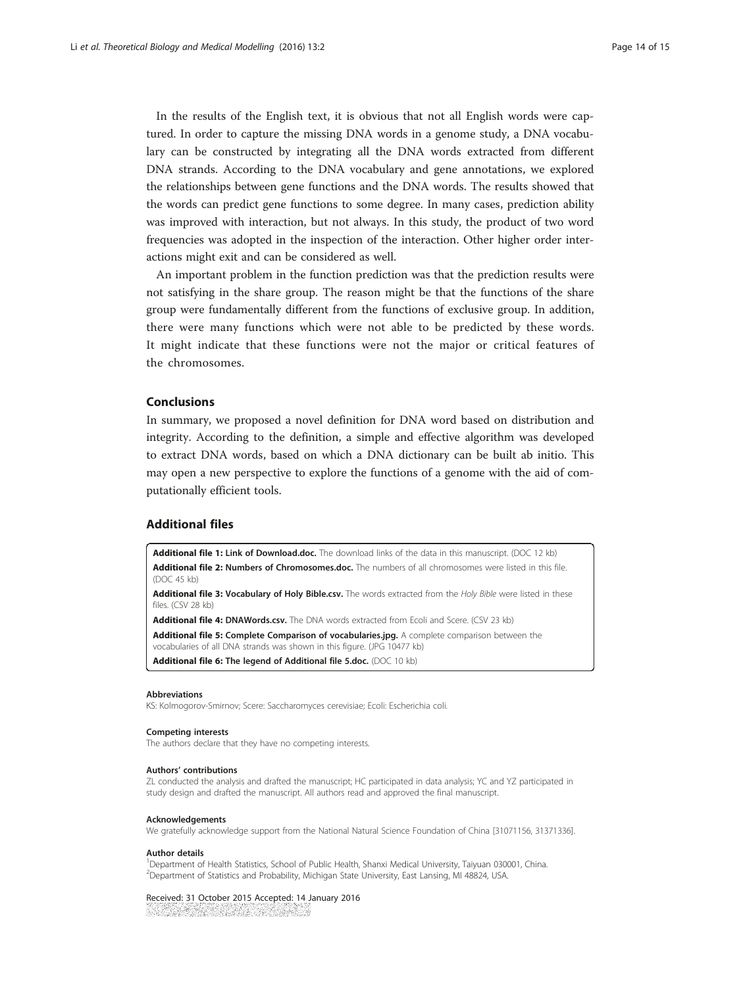<span id="page-13-0"></span>In the results of the English text, it is obvious that not all English words were captured. In order to capture the missing DNA words in a genome study, a DNA vocabulary can be constructed by integrating all the DNA words extracted from different DNA strands. According to the DNA vocabulary and gene annotations, we explored the relationships between gene functions and the DNA words. The results showed that the words can predict gene functions to some degree. In many cases, prediction ability was improved with interaction, but not always. In this study, the product of two word frequencies was adopted in the inspection of the interaction. Other higher order interactions might exit and can be considered as well.

An important problem in the function prediction was that the prediction results were not satisfying in the share group. The reason might be that the functions of the share group were fundamentally different from the functions of exclusive group. In addition, there were many functions which were not able to be predicted by these words. It might indicate that these functions were not the major or critical features of the chromosomes.

## Conclusions

In summary, we proposed a novel definition for DNA word based on distribution and integrity. According to the definition, a simple and effective algorithm was developed to extract DNA words, based on which a DNA dictionary can be built ab initio. This may open a new perspective to explore the functions of a genome with the aid of computationally efficient tools.

## Additional files

[Additional file 1:](dx.doi.org/10.1186/s12976-016-0028-3) Link of Download.doc. The download links of the data in this manuscript. (DOC 12 kb) [Additional file 2:](dx.doi.org/10.1186/s12976-016-0028-3) Numbers of Chromosomes.doc. The numbers of all chromosomes were listed in this file. (DOC 45 kb)

[Additional file 3:](dx.doi.org/10.1186/s12976-016-0028-3) Vocabulary of Holy Bible.csv. The words extracted from the Holy Bible were listed in these files. (CSV 28 kb)

[Additional file 4:](dx.doi.org/10.1186/s12976-016-0028-3) DNAWords.csv. The DNA words extracted from Ecoli and Scere. (CSV 23 kb)

[Additional file 5:](dx.doi.org/10.1186/s12976-016-0028-3) Complete Comparison of vocabularies.jpg. A complete comparison between the vocabularies of all DNA strands was shown in this figure. (JPG 10477 kb)

[Additional file 6:](dx.doi.org/10.1186/s12976-016-0028-3) The legend of Additional file 5.doc. (DOC 10 kb)

#### Abbreviations

KS: Kolmogorov-Smirnov; Scere: Saccharomyces cerevisiae; Ecoli: Escherichia coli.

#### Competing interests

The authors declare that they have no competing interests.

#### Authors' contributions

ZL conducted the analysis and drafted the manuscript; HC participated in data analysis; YC and YZ participated in study design and drafted the manuscript. All authors read and approved the final manuscript.

#### Acknowledgements

We gratefully acknowledge support from the National Natural Science Foundation of China [31071156, 31371336].

#### Author details

<sup>1</sup>Department of Health Statistics, School of Public Health, Shanxi Medical University, Taiyuan 030001, China. <sup>2</sup>Department of Statistics and Probability, Michigan State University, East Lansing, MI 48824, USA.

#### Received: 31 October 2015 Accepted: 14 January 2016